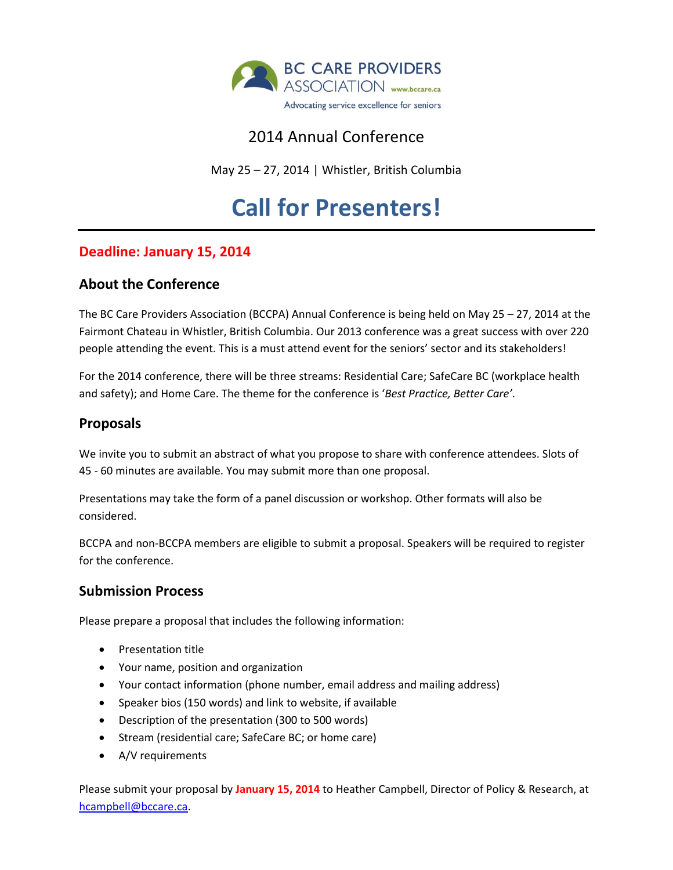

## 2014 Annual Conference

May 25 – 27, 2014 | Whistler, British Columbia

# **Call for Presenters!**

### **Deadline: January 15, 2014**

#### **About the Conference**

The BC Care Providers Association (BCCPA) Annual Conference is being held on May 25 – 27, 2014 at the Fairmont Chateau in Whistler, British Columbia. Our 2013 conference was a great success with over 220 people attending the event. This is a must attend event for the seniors' sector and its stakeholders!

For the 2014 conference, there will be three streams: Residential Care; SafeCare BC (workplace health and safety); and Home Care. The theme for the conference is '*Best Practice, Better Care'*.

#### **Proposals**

We invite you to submit an abstract of what you propose to share with conference attendees. Slots of 45 - 60 minutes are available. You may submit more than one proposal.

Presentations may take the form of a panel discussion or workshop. Other formats will also be considered.

BCCPA and non-BCCPA members are eligible to submit a proposal. Speakers will be required to register for the conference.

#### **Submission Process**

Please prepare a proposal that includes the following information:

- Presentation title
- Your name, position and organization
- Your contact information (phone number, email address and mailing address)
- Speaker bios (150 words) and link to website, if available
- Description of the presentation (300 to 500 words)
- Stream (residential care; SafeCare BC; or home care)
- A/V requirements

Please submit your proposal by **January 15, 2014** to Heather Campbell, Director of Policy & Research, at [hcampbell@bccare.ca.](mailto:hcampbell@bccare.ca)